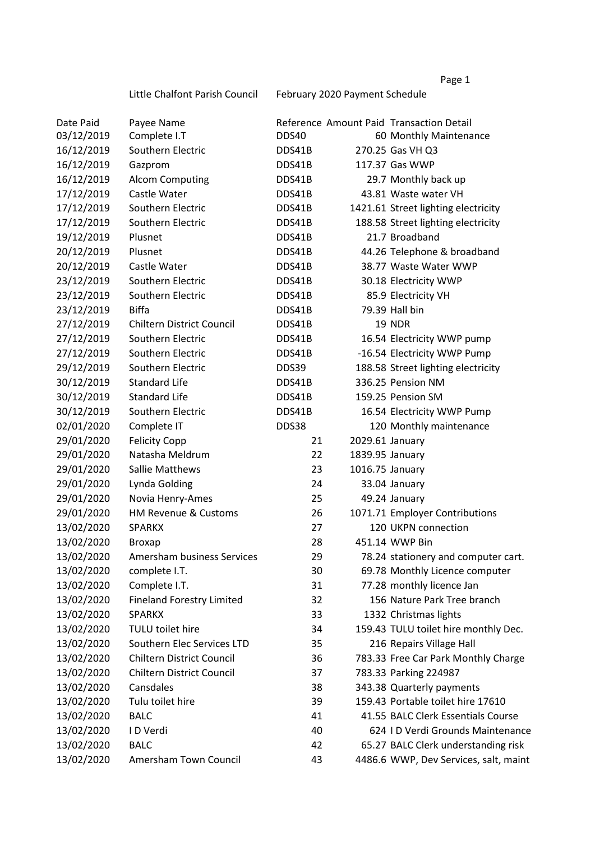Little Chalfont Parish Council February 2020 Payment Schedule

| Date Paid  | Payee Name                       |        |                 | Reference Amount Paid Transaction Detail |
|------------|----------------------------------|--------|-----------------|------------------------------------------|
| 03/12/2019 | Complete I.T                     | DDS40  |                 | 60 Monthly Maintenance                   |
| 16/12/2019 | Southern Electric                | DDS41B |                 | 270.25 Gas VH Q3                         |
| 16/12/2019 | Gazprom                          | DDS41B |                 | 117.37 Gas WWP                           |
| 16/12/2019 | <b>Alcom Computing</b>           | DDS41B |                 | 29.7 Monthly back up                     |
| 17/12/2019 | Castle Water                     | DDS41B |                 | 43.81 Waste water VH                     |
| 17/12/2019 | Southern Electric                | DDS41B |                 | 1421.61 Street lighting electricity      |
| 17/12/2019 | Southern Electric                | DDS41B |                 | 188.58 Street lighting electricity       |
| 19/12/2019 | Plusnet                          | DDS41B |                 | 21.7 Broadband                           |
| 20/12/2019 | Plusnet                          | DDS41B |                 | 44.26 Telephone & broadband              |
| 20/12/2019 | Castle Water                     | DDS41B |                 | 38.77 Waste Water WWP                    |
| 23/12/2019 | Southern Electric                | DDS41B |                 | 30.18 Electricity WWP                    |
| 23/12/2019 | Southern Electric                | DDS41B |                 | 85.9 Electricity VH                      |
| 23/12/2019 | <b>Biffa</b>                     | DDS41B |                 | 79.39 Hall bin                           |
| 27/12/2019 | <b>Chiltern District Council</b> | DDS41B |                 | <b>19 NDR</b>                            |
| 27/12/2019 | Southern Electric                | DDS41B |                 | 16.54 Electricity WWP pump               |
| 27/12/2019 | Southern Electric                | DDS41B |                 | -16.54 Electricity WWP Pump              |
| 29/12/2019 | Southern Electric                | DDS39  |                 | 188.58 Street lighting electricity       |
| 30/12/2019 | <b>Standard Life</b>             | DDS41B |                 | 336.25 Pension NM                        |
| 30/12/2019 | <b>Standard Life</b>             | DDS41B |                 | 159.25 Pension SM                        |
| 30/12/2019 | Southern Electric                | DDS41B |                 | 16.54 Electricity WWP Pump               |
| 02/01/2020 | Complete IT                      | DDS38  |                 | 120 Monthly maintenance                  |
| 29/01/2020 | <b>Felicity Copp</b>             | 21     | 2029.61 January |                                          |
| 29/01/2020 | Natasha Meldrum                  | 22     | 1839.95 January |                                          |
| 29/01/2020 | Sallie Matthews                  | 23     | 1016.75 January |                                          |
| 29/01/2020 | Lynda Golding                    | 24     |                 | 33.04 January                            |
| 29/01/2020 | Novia Henry-Ames                 | 25     |                 | 49.24 January                            |
| 29/01/2020 | <b>HM Revenue &amp; Customs</b>  | 26     |                 | 1071.71 Employer Contributions           |
| 13/02/2020 | <b>SPARKX</b>                    | 27     |                 | 120 UKPN connection                      |
| 13/02/2020 | <b>Broxap</b>                    | 28     |                 | 451.14 WWP Bin                           |
| 13/02/2020 | Amersham business Services       | 29     |                 | 78.24 stationery and computer cart.      |
| 13/02/2020 | complete I.T.                    | 30     |                 | 69.78 Monthly Licence computer           |
| 13/02/2020 | Complete I.T.                    | 31     |                 | 77.28 monthly licence Jan                |
| 13/02/2020 | <b>Fineland Forestry Limited</b> | 32     |                 | 156 Nature Park Tree branch              |
| 13/02/2020 | <b>SPARKX</b>                    | 33     |                 | 1332 Christmas lights                    |
| 13/02/2020 | TULU toilet hire                 | 34     |                 | 159.43 TULU toilet hire monthly Dec.     |
| 13/02/2020 | Southern Elec Services LTD       | 35     |                 | 216 Repairs Village Hall                 |
| 13/02/2020 | Chiltern District Council        | 36     |                 | 783.33 Free Car Park Monthly Charge      |
| 13/02/2020 | Chiltern District Council        | 37     |                 | 783.33 Parking 224987                    |
| 13/02/2020 | Cansdales                        | 38     |                 | 343.38 Quarterly payments                |
| 13/02/2020 | Tulu toilet hire                 | 39     |                 | 159.43 Portable toilet hire 17610        |
| 13/02/2020 | <b>BALC</b>                      | 41     |                 | 41.55 BALC Clerk Essentials Course       |
| 13/02/2020 | I D Verdi                        | 40     |                 | 624 I D Verdi Grounds Maintenance        |
| 13/02/2020 | <b>BALC</b>                      | 42     |                 | 65.27 BALC Clerk understanding risk      |
| 13/02/2020 | Amersham Town Council            | 43     |                 | 4486.6 WWP, Dev Services, salt, maint    |
|            |                                  |        |                 |                                          |

## Page 1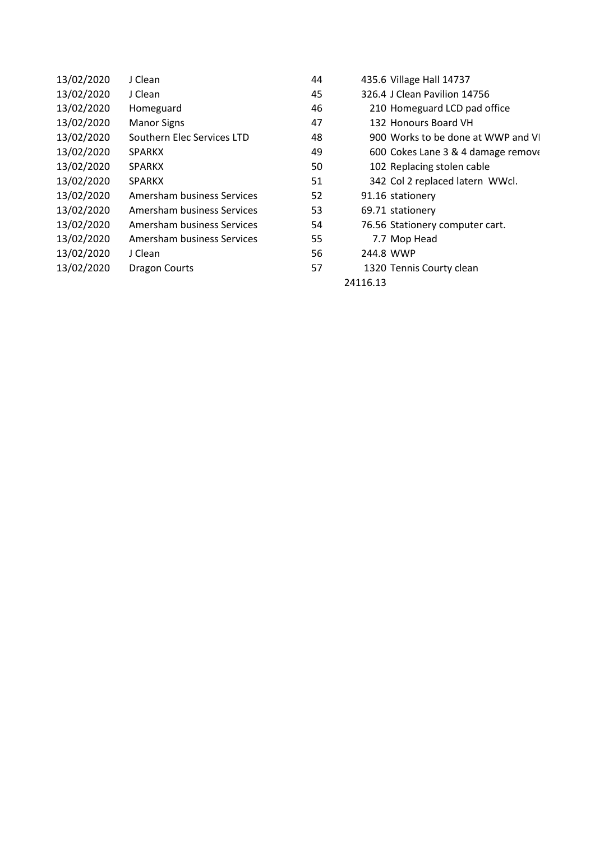| 13/02/2020 | J Clean                    | 44 | 435.6 Village Hall 14737           |  |
|------------|----------------------------|----|------------------------------------|--|
| 13/02/2020 | J Clean                    | 45 | 326.4 J Clean Pavilion 14756       |  |
| 13/02/2020 | Homeguard                  | 46 | 210 Homeguard LCD pad office       |  |
| 13/02/2020 | <b>Manor Signs</b>         | 47 | 132 Honours Board VH               |  |
| 13/02/2020 | Southern Elec Services LTD | 48 | 900 Works to be done at WWP and VI |  |
| 13/02/2020 | <b>SPARKX</b>              | 49 | 600 Cokes Lane 3 & 4 damage remove |  |
| 13/02/2020 | <b>SPARKX</b>              | 50 | 102 Replacing stolen cable         |  |
| 13/02/2020 | <b>SPARKX</b>              | 51 | 342 Col 2 replaced latern WWcl.    |  |
| 13/02/2020 | Amersham business Services | 52 | 91.16 stationery                   |  |
| 13/02/2020 | Amersham business Services | 53 | 69.71 stationery                   |  |
| 13/02/2020 | Amersham business Services | 54 | 76.56 Stationery computer cart.    |  |
| 13/02/2020 | Amersham business Services | 55 | 7.7 Mop Head                       |  |
| 13/02/2020 | J Clean                    | 56 | 244.8 WWP                          |  |
| 13/02/2020 | Dragon Courts              | 57 | 1320 Tennis Courty clean           |  |
|            |                            |    | 24116.13                           |  |
|            |                            |    |                                    |  |